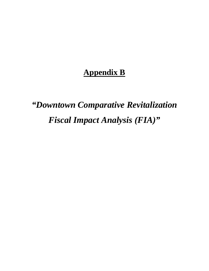# **Appendix B**

# *"Downtown Comparative Revitalization Fiscal Impact Analysis (FIA)"*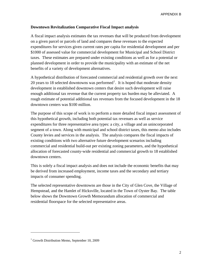# **Downtown Revitalization Comparative Fiscal Impact analysis**

A fiscal impact analysis estimates the tax revenues that will be produced from development on a given parcel or parcels of land and compares these revenues to the expected expenditures for services given current rates per capita for residential development and per \$1000 of assessed value for commercial development for Municipal and School District taxes. These estimates are prepared under existing conditions as well as for a potential or planned development in order to provide the municipality with an estimate of the net benefits of a variety of development alternatives.

A hypothetical distribution of forecasted commercial and residential growth over the next 20 years to [1](#page-1-0)8 selected downtowns was performed<sup>1</sup>. It is hoped that moderate density development in established downtown centers that desire such development will raise enough additional tax revenue that the current property tax burden may be alleviated. A rough estimate of potential additional tax revenues from the focused development in the 18 downtown centers was \$100 million.

The purpose of this scope of work is to perform a more detailed fiscal impact assessment of this hypothetical growth, including both potential tax revenues as well as service expenditures for three representative area types: a city, a village and an unincorporated segment of a town. Along with municipal and school district taxes, this memo also includes County levies and services in the analysis. The analysis compares the fiscal impacts of existing conditions with two alternative future development scenarios including commercial and residential build-out per existing zoning parameters, and the hypothetical allocation of forecasted county-wide residential and commercial growth to 18 established downtown centers.

This is solely a fiscal impact analysis and does not include the economic benefits that may be derived from increased employment, income taxes and the secondary and tertiary impacts of consumer spending.

The selected representative downtowns are those in the City of Glen Cove, the Village of Hempstead, and the Hamlet of Hicksville, located in the Town of Oyster Bay. The table below shows the Downtown Growth Memorandum allocation of commercial and residential floorspace for the selected representative areas.

 $\overline{\phantom{a}}$ 

<span id="page-1-0"></span><sup>&</sup>lt;sup>1</sup> Growth Distribution Memo, September 10, 2009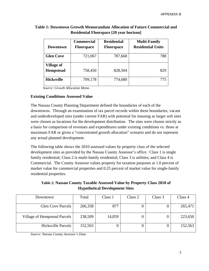|                   | <b>Commercial</b> | <b>Residential</b> | <b>Multi-Family</b>      |
|-------------------|-------------------|--------------------|--------------------------|
| Downtown          | <b>Floorspace</b> | <b>Floorspace</b>  | <b>Residential Units</b> |
| <b>Glen Cove</b>  | 721,067           | 787,668            | 788                      |
| <b>Village of</b> |                   |                    |                          |
| <b>Hempstead</b>  | 758,450           | 828,504            | 829                      |
| <b>Hicksville</b> | 709,178           | 774,680            | 775                      |

# **Table 1: Downtown Growth Memorandum Allocation of Future Commercial and Residential Floorspace [20 year horizon]**

*Source: Growth Allocation Memo* 

#### **Existing Conditions Assessed Value**

The Nassau County Planning Department defined the boundaries of each of the downtowns. Through an examination of tax parcel records within these boundaries, vacant and underdeveloped sites (under current FAR) with potential for massing as larger soft sites were chosen as locations for the development distribution. The sites were chosen strictly as a basis for comparison of revenues and expenditures under existing conditions vs. those at maximum FAR or given a "concentrated growth allocation" scenario and do not represent any actual planned development.

The following table shows the 2010 assessed values by property class of the selected development sites as provided by the Nassau County Assessor's office. Class 1 is single family residential; Class 2 is multi-family residential; Class 3 is utilities; and Class 4 is Commercial. The County Assessor values property for taxation purposes at 1.0 percent of market value for commercial properties and 0.25 percent of market value for single-family residential properties.

# **Table 2: Nassau County Taxable Assessed Value by Property Class 2010 of Hypothetical Development Sites**

| Downtown                     | Total   | Class 1 | Class 2 | Class 3 | Class 4 |
|------------------------------|---------|---------|---------|---------|---------|
| <b>Glen Cove Parcels</b>     | 266,358 | 877     |         |         | 265,471 |
| Village of Hempstead Parcels | 238,509 | 14,859  |         |         | 223,650 |
| <b>Hicksville Parcels</b>    | 152,563 |         |         |         | 152,563 |

*Source: Nassau County Assessor's Data*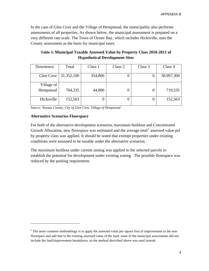In the case of Glen Cove and the Village of Hempstead, the municipality also performs assessments of all properties. As shown below, the municipal assessment is prepared on a very different rate scale. The Town of Oyster Bay, which includes Hicksville, uses the County assessment as the basis for municipal taxes.

**Table 3: Municipal Taxable Assessed Value by Property Class 2010-2011 of Hypothetical Development Sites** 

| Class 1<br>Total |                                  | Class 2           | Class 3 | Class 4    |
|------------------|----------------------------------|-------------------|---------|------------|
|                  |                                  |                   |         |            |
|                  |                                  |                   |         | 30,997,300 |
|                  |                                  |                   |         |            |
| Village of       |                                  |                   |         |            |
|                  |                                  |                   |         | 719,535    |
|                  |                                  |                   |         |            |
|                  | 0                                |                   |         | 152,563    |
|                  |                                  |                   |         |            |
|                  | 31,352,100<br>764,335<br>152,563 | 354,800<br>44,800 | U       |            |

*Source: Nassau County, City of Glen Cove, Village of Hempstead* 

#### **Alternative Scenarios Floorspace**

 $\overline{\phantom{a}}$ 

For both of the alternative development scenarios, maximum buildout and Concentrated Growth Allocation, new floorspace was estimated and the average total<sup>[2](#page-3-0)</sup> assessed value psf by property class was applied. It should be noted that exempt properties under existing conditions were assumed to be taxable under the alternative scenarios.

The maximum buildout under current zoning was applied to the selected parcels to establish the potential for development under existing zoning. The possible floorspace was reduced by the parking requirement.

<span id="page-3-0"></span> $2^{2}$  The more common methodology is to apply the assessed value per square foot of improvement to the new floorspace and add that to the existing assessed value of the land; some of the municipal assessments did not include the land/improvement breakdown, so the method described above was used instead.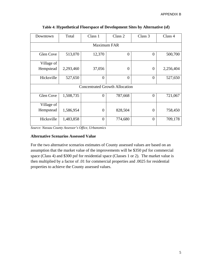| Downtown           | Total     | Class 1        | Class 2                               | Class 3  | Class 4   |  |  |  |  |  |  |
|--------------------|-----------|----------------|---------------------------------------|----------|-----------|--|--|--|--|--|--|
| <b>Maximum FAR</b> |           |                |                                       |          |           |  |  |  |  |  |  |
| <b>Glen Cove</b>   | 513,070   | 12,370         | $\overline{0}$                        | $\Omega$ | 500,700   |  |  |  |  |  |  |
| Village of         |           |                |                                       |          |           |  |  |  |  |  |  |
| Hempstead          | 2,293,460 | 37,056         | $\boldsymbol{0}$                      | $\Omega$ | 2,256,404 |  |  |  |  |  |  |
| Hicksville         | 527,650   | $\overline{0}$ | $\overline{0}$                        | $\Omega$ | 527,650   |  |  |  |  |  |  |
|                    |           |                | <b>Concentrated Growth Allocation</b> |          |           |  |  |  |  |  |  |
| Glen Cove          | 1,508,735 | 0              | 787,668                               | $\Omega$ | 721,067   |  |  |  |  |  |  |
| Village of         |           |                |                                       |          |           |  |  |  |  |  |  |
| Hempstead          | 1,586,954 | $\overline{0}$ | 828,504                               | $\Omega$ | 758,450   |  |  |  |  |  |  |
| Hicksville         | 1,483,858 | $\overline{0}$ | 774,680                               | $\theta$ | 709,178   |  |  |  |  |  |  |

|  |  | Table 4: Hypothetical Floorspace of Development Sites by Alternative (sf) |  |
|--|--|---------------------------------------------------------------------------|--|
|  |  |                                                                           |  |

*Source: Nassau County Assessor's Office, Urbanomics* 

# **Alternative Scenarios Assessed Value**

For the two alternative scenarios estimates of County assessed values are based on an assumption that the market value of the improvements will be \$350 psf for commercial space (Class 4) and \$300 psf for residential space (Classes 1 or 2). The market value is then multiplied by a factor of .01 for commercial properties and .0025 for residential properties to achieve the County assessed values.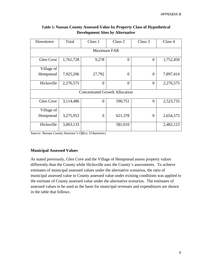| Downtown   | Total       | Class 1                               | Class 2          | Class 3        | Class 4   |  |  |  |  |  |  |  |  |
|------------|-------------|---------------------------------------|------------------|----------------|-----------|--|--|--|--|--|--|--|--|
|            | Maximum FAR |                                       |                  |                |           |  |  |  |  |  |  |  |  |
| Glen Cove  | 1,761,728   | 9,278                                 | $\boldsymbol{0}$ | $\Omega$       | 1,752,450 |  |  |  |  |  |  |  |  |
| Village of |             |                                       |                  |                |           |  |  |  |  |  |  |  |  |
| Hempstead  | 7,925,206   | 27,792                                | $\boldsymbol{0}$ | $\theta$       | 7,897,414 |  |  |  |  |  |  |  |  |
| Hicksville | 2,276,575   | $\overline{0}$                        | $\overline{0}$   | $\overline{0}$ | 2,276,575 |  |  |  |  |  |  |  |  |
|            |             | <b>Concentrated Growth Allocation</b> |                  |                |           |  |  |  |  |  |  |  |  |
| Glen Cove  | 3,114,486   | $\overline{0}$                        | 590,751          | $\Omega$       | 2,523,735 |  |  |  |  |  |  |  |  |
| Village of |             |                                       |                  |                |           |  |  |  |  |  |  |  |  |
| Hempstead  | 3,275,953   | $\overline{0}$                        | 621,378          | $\theta$       | 2,654,575 |  |  |  |  |  |  |  |  |
| Hicksville | 3,063,133   |                                       | 581,010          |                | 2,482,123 |  |  |  |  |  |  |  |  |

# **Table 5: Nassau County Assessed Value by Property Class of Hypothetical Development Sites by Alternative**

*Source: Nassau County Assessor's Office, Urbanomics* 

#### **Municipal Assessed Values**

As stated previously, Glen Cove and the Village of Hempstead assess property values differently than the County while Hicksville uses the County's assessments. To achieve estimates of municipal assessed values under the alternative scenarios, the ratio of municipal assessed value to County assessed value under existing conditions was applied to the estimate of County assessed value under the alternative scenarios. The estimates of assessed values to be used as the basis for municipal revenues and expenditures are shown in the table that follows.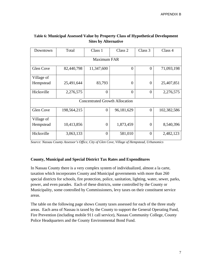| Downtown           | Total       | Class 1                               | Class 2        | Class 3        | Class 4     |  |  |  |  |  |  |
|--------------------|-------------|---------------------------------------|----------------|----------------|-------------|--|--|--|--|--|--|
| <b>Maximum FAR</b> |             |                                       |                |                |             |  |  |  |  |  |  |
| Glen Cove          | 82,440,798  | 11,347,600                            | $\overline{0}$ | $\overline{0}$ | 71,093,198  |  |  |  |  |  |  |
| Village of         |             |                                       |                |                |             |  |  |  |  |  |  |
| Hempstead          | 25,491,644  | 83,793                                | $\overline{0}$ | $\theta$       | 25,407,851  |  |  |  |  |  |  |
| Hicksville         | 2,276,575   | $\Omega$                              | $\theta$       | $\theta$       | 2,276,575   |  |  |  |  |  |  |
|                    |             | <b>Concentrated Growth Allocation</b> |                |                |             |  |  |  |  |  |  |
| Glen Cove          | 198,564,215 | $\overline{0}$                        | 96,181,629     | $\overline{0}$ | 102,382,586 |  |  |  |  |  |  |
| Village of         |             |                                       |                |                |             |  |  |  |  |  |  |
| Hempstead          | 10,413,856  | $\overline{0}$                        | 1,873,459      | $\theta$       | 8,540,396   |  |  |  |  |  |  |
| Hicksville         | 3,063,133   | $\theta$                              | 581,010        | $\theta$       | 2,482,123   |  |  |  |  |  |  |

# **Table 6: Municipal Assessed Value by Property Class of Hypothetical Development Sites by Alternative**

*Source: Nassau County Assessor's Office, City of Glen Cove, Village of Hempstead, Urbanomics* 

# **County, Municipal and Special District Tax Rates and Expenditures**

In Nassau County there is a very complex system of individualized, almost a la carte, taxation which incorporates County and Municipal governments with more than 260 special districts for schools, fire protection, police, sanitation, lighting, water, sewer, parks, power, and even parades. Each of these districts, some controlled by the County or Municipality, some controlled by Commissioners, levy taxes on their constituent service areas.

The table on the following page shows County taxes assessed for each of the three study areas. Each area of Nassau is taxed by the County to support the General Operating Fund, Fire Prevention (including mobile 911 call service), Nassau Community College, County Police Headquarters and the County Environmental Bond Fund.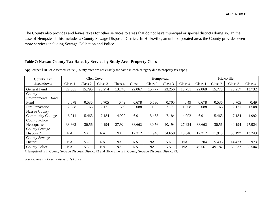The County also provides and levies taxes for other services to areas that do not have municipal or special districts doing so. In the case of Hempstead, this includes a County Sewage Disposal District. In Hicksville, an unincorporated area, the County provides even more services including Sewage Collection and Police.

# **Table 7: Nassau County Tax Rates by Service by Study Area Property Class**

| Glen Cove<br>County Tax             |           |           |           |           |           |           | Hempstead |           |         |         | Hicksville |         |
|-------------------------------------|-----------|-----------|-----------|-----------|-----------|-----------|-----------|-----------|---------|---------|------------|---------|
| Breakdown                           | Class     | Class 2   | Class 3   | Class 4   | Class 1   | Class 2   | Class 3   | Class 4   | Class 1 | Class 2 | Class 3    | Class 4 |
| <b>General Fund</b>                 | 22.085    | 15.795    | 23.274    | 13.748    | 22.067    | 15.777    | 23.256    | 13.731    | 22.068  | 15.778  | 23.257     | 13.732  |
| County<br><b>Environmental Bond</b> |           |           |           |           |           |           |           |           |         |         |            |         |
| Fund                                | 0.678     | 0.536     | 0.705     | 0.49      | 0.678     | 0.536     | 0.705     | 0.49      | 0.678   | 0.536   | 0.705      | 0.49    |
| Fire Prevention                     | 2.088     | 1.65      | 2.171     | 1.508     | 2.088     | 1.65      | 2.171     | 1.508     | 2.088   | 1.65    | 2.171      | 1.508   |
| <b>Nassau County</b>                |           |           |           |           |           |           |           |           |         |         |            |         |
| <b>Community College</b>            | 6.911     | 5.463     | 7.184     | 4.992     | 6.911     | 5.463     | 7.184     | 4.992     | 6.911   | 5.463   | 7.184      | 4.992   |
| <b>County Police</b>                |           |           |           |           |           |           |           |           |         |         |            |         |
| Headquarters                        | 38.662    | 30.56     | 40.194    | 27.924    | 38.662    | 30.56     | 40.194    | 27.924    | 38.662  | 30.56   | 40.194     | 27.924  |
| <b>County Sewage</b>                |           |           |           |           |           |           |           |           |         |         |            |         |
| $Disposal*$                         | <b>NA</b> | <b>NA</b> | <b>NA</b> | <b>NA</b> | 12.212    | 11.948    | 34.658    | 13.846    | 12.212  | 11.913  | 33.197     | 13.243  |
| <b>County Sewage</b>                |           |           |           |           |           |           |           |           |         |         |            |         |
| District                            | <b>NA</b> | <b>NA</b> | <b>NA</b> | NA        | <b>NA</b> | <b>NA</b> | <b>NA</b> | <b>NA</b> | 5.204   | 5.496   | 14.473     | 5.973   |
| <b>County Police</b>                | <b>NA</b> | <b>NA</b> | <b>NA</b> | <b>NA</b> | <b>NA</b> | <b>NA</b> | <b>NA</b> | <b>NA</b> | 49.561  | 49.182  | 138.637    | 55.504  |

Applied per \$100 of Assessed Value (County rates are not exactly the same in each category due to property tax caps.)

\*Hempstead is in County Sewage Disposal District #2 and Hicksville is in County Sewage Disposal District #3.

*Source: Nassau County Assessor's Office*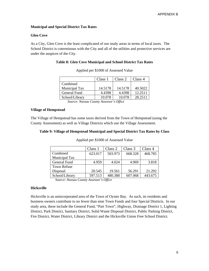#### **Municipal and Special District Tax Rates**

#### **Glen Cove**

As a City, Glen Cove is the least complicated of our study areas in terms of local taxes. The School District is coterminous with the City and all of the utilities and protective services are under the auspices of the City.

#### **Table 8: Glen Cove Municipal and School District Tax Rates**

|                | Class 1 | Class 2 | Class 4 |
|----------------|---------|---------|---------|
| Combined       |         |         |         |
| Municipal Tax  | 14.5178 | 14.5178 | 40.5022 |
| General Fund   | 4.4398  | 4.4398  | 12.2511 |
| School/Library | 10.078  | 10.078  | 28.2511 |
|                |         |         |         |

Applied per \$1000 of Assessed Value

*Source: Nassau County Assessor's Office*

#### **Village of Hempstead**

The Village of Hempstead has some taxes derived from the Town of Hempstead (using the County Assessment) as well as Village Districts which use the Village Assessment.

#### **Table 9: Village of Hempstead Municipal and Special District Tax Rates by Class**

|                     | Class 1 | Class 2 | Class 3 | Class 4 |
|---------------------|---------|---------|---------|---------|
| Combined            | 623.017 | 503.973 | 668.328 | 468.785 |
| Municipal Tax       |         |         |         |         |
| <b>General Fund</b> | 4.959   | 4.024   | 4.969   | 3.818   |
| <b>Town Refuse</b>  |         |         |         |         |
| Disposal            | 20.545  | 19.561  | 56.291  | 21.292  |
| School/Library      | 597.513 | 480.388 | 607.068 | 443.675 |

Applied per \$1000 of Assessed Value

 *Source: Nassau County Assessor's Office* 

#### **Hicksville**

Hicksville is an unincorporated area of the Town of Oyster Bay. As such, its residents and business owners contribute to no fewer than nine Town Funds and four Special Districts. In our study area, these include the General Fund, "Part Town", Highway, Drainage District 1, Lighting District, Park District, Sanitary District, Solid Waste Disposal District, Public Parking District, Fire District, Water District, Library District and the Hicksville Union Free School District.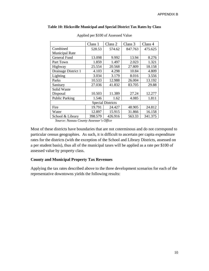|                       | Class 1 | Class 2                  | Class 3 | Class 4 |
|-----------------------|---------|--------------------------|---------|---------|
| Combined              | 528.53  | 574.62                   | 847.763 | 475.625 |
| <b>Municipal Rate</b> |         |                          |         |         |
| <b>General Fund</b>   | 13.098  | 9.992                    | 13.94   | 8.276   |
| Part Town             | 1.859   | 1.497                    | 2.023   | 1.321   |
| Highway               | 25.554  | 20.568                   | 27.809  | 18.158  |
| Drainage District 1   | 4.103   | 4.298                    | 10.84   | 4.809   |
| Lighting              | 3.034   | 3.179                    | 8.016   | 3.556   |
| Parks                 | 10.533  | 12.988                   | 26.004  | 13.192  |
| Sanitary              | 27.036  | 41.832                   | 83.705  | 29.88   |
| Solid Waste           |         |                          |         |         |
| Disposal              | 10.503  | 11.389                   | 27.24   | 12.277  |
| <b>Public Parking</b> | 1.546   | 1.62                     | 4.085   | 1.811   |
|                       |         | <b>Special Districts</b> |         |         |
| Fire                  | 19.791  | 24.427                   | 48.905  | 24.812  |
| Water                 | 12.897  | 15.915                   | 31.866  | 16.158  |
| School & Library      | 398.579 | 426.916                  | 563.33  | 341.375 |

#### **Table 10: Hicksville Municipal and Special District Tax Rates by Class**

Applied per \$100 of Assessed Value

 *Source: Nassau County Assessor's Office* 

Most of these districts have boundaries that are not coterminous and do not correspond to particular census geographies. As such, it is difficult to ascertain per capita expenditure rates for the districts (with the exception of the School and Library Districts, assessed on a per student basis), thus all of the municipal taxes will be applied as a rate per \$100 of assessed value by property class.

#### **County and Municipal Property Tax Revenues**

Applying the tax rates described above to the three development scenarios for each of the representative downtowns yields the following results: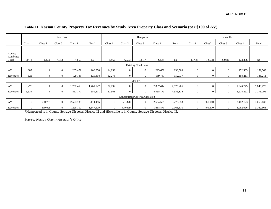|                             | Glen Cove      |          |                |           |           | Hempstead      |          |                                | Hicksville |           |                |          |                |           |           |
|-----------------------------|----------------|----------|----------------|-----------|-----------|----------------|----------|--------------------------------|------------|-----------|----------------|----------|----------------|-----------|-----------|
|                             | Class 1        | Class 2  | Class 3        | Class 4   | Total     | Class 1        | Class 2  | Class 3                        | Class 4    | Total     | Class1         | Class2   | Class 3        | Class 4   | Total     |
|                             |                |          |                |           |           |                |          |                                |            |           |                |          |                |           |           |
| County<br>Combined<br>Total | 70.42          | 54.00    | 73.53          | 48.66     | na        | 82.62          | 65.93    | 108.17                         | 62.49      | na        | 137.38         | 120.58   | 259.82         | 123.366   | na        |
| <b>Existing Conditions</b>  |                |          |                |           |           |                |          |                                |            |           |                |          |                |           |           |
| AV                          | 887            | $\theta$ | $\theta$       | 265,471   | 266,358   | 14,859         | $\Omega$ | $\Omega$                       | 223,650    | 238,509   | $\Omega$       | $\Omega$ | $\theta$       | 152,563   | 152,563   |
| Revenues                    | 625            | $\theta$ | $\Omega$       | 129,183   | 129,808   | 12,276         | $\Omega$ | $\Omega$                       | 139,761    | 152,037   | $\Omega$       | $\Omega$ | $\theta$       | 188,211   | 188,211   |
|                             |                |          |                |           |           |                |          | Max FAR                        |            |           |                |          |                |           |           |
| AV                          | 9,278          | $\theta$ | $\Omega$       | 1,752,450 | 1,761,727 | 27,792         | $\Omega$ | $\overline{0}$                 | 7,897,414  | 7,925,206 | $\Omega$       | $\Omega$ | $\theta$       | 1,846,775 | 1,846,775 |
| Revenues                    | 6,534          | $\Omega$ | $\Omega$       | 852,777   | 859,311   | 22,961         | $\Omega$ | $\Omega$                       | 4,935,173  | 4,958,134 | $\Omega$       | $\Omega$ | $\Omega$       | 2,278,292 | 2,278,292 |
|                             |                |          |                |           |           |                |          | Concentrated Growth Allocation |            |           |                |          |                |           |           |
| AV                          | $\mathbf{0}$   | 590,751  | $\Omega$       | 2,523,735 | 3,114,486 | $\Omega$       | 621,378  | $\theta$                       | 2,654,575  | 3,275,953 | $\Omega$       | 581,010  | $\theta$       | 2,482,123 | 3,063,133 |
| Revenues                    | $\overline{0}$ | 319,029  | $\overline{0}$ | 1,228,100 | 1,547,129 | $\overline{0}$ | 409,699  | $\overline{0}$                 | 1,658,870  | 2,068,570 | $\overline{0}$ | 700,570  | $\overline{0}$ | 3,062,096 | 3,762,666 |

# **Table 11: Nassau County Property Tax Revenues by Study Area Property Class and Scenario (per \$100 of AV)**

\*Hempstead is in County Sewage Disposal District #2 and Hicksville is in County Sewage Disposal District #3.

*Source: Nassau County Assessor's Office*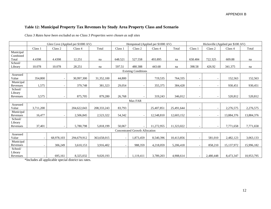# **Table 12: Municipal Property Tax Revenues by Study Area Property Class and Scenario**

*Class 3 Rates have been excluded as no Class 3 Properties were chosen as soft sites* 

|                                |                          |                          | Glen Cove (Applied per \$1000 AV) |               |                          |                                | Hempstead (Applied per \$1000 AV) |            | Hicksville (Applied per \$100 AV) |                          |            |            |  |
|--------------------------------|--------------------------|--------------------------|-----------------------------------|---------------|--------------------------|--------------------------------|-----------------------------------|------------|-----------------------------------|--------------------------|------------|------------|--|
|                                | Class 1                  | Class 2                  | Class 4                           | Total         | Class 1                  | Class 2                        | Class 4                           | Total      | Class 1                           | Class 2                  | Class 4    | Total      |  |
| Municipal<br>Combined<br>Total | 4.4398                   | 4.4398                   | 12.251                            | na            | 648.521                  | 527.558                        | 493.895                           | na         | 658.484                           | 722.325                  | 609.88     | na         |  |
| School/<br>Library             | 10.078                   | 10.078                   | 28.251                            | na            | 597.51                   | 480.388                        | 443.68                            | na         | 398.58                            | 426.92                   | 341.375    | na         |  |
|                                |                          |                          |                                   |               |                          | <b>Existing Conditions</b>     |                                   |            |                                   |                          |            |            |  |
| Assessed<br>Value              | 354,800                  | $\overline{\phantom{a}}$ | 30,997,300                        | 31,352,100    | 44,800                   |                                | 719,535                           | 764,335    | $\overline{\phantom{a}}$          |                          | 152,563    | 152,563    |  |
| Municipal<br>Revenues          | 1,575                    | $\blacksquare$           | 379,748                           | 381,323       | 29,054                   |                                | 355,375                           | 384,428    | $\overline{\phantom{a}}$          |                          | 930,451    | 930,451    |  |
| School/<br>Library<br>Revenues | 3,575                    | $\overline{\phantom{a}}$ | 875,705                           | 879,280       | 26.768                   | $\overline{a}$                 | 319.243                           | 346,012    | $\sim$                            | $\overline{\phantom{a}}$ | 520,812    | 520,812    |  |
|                                |                          |                          |                                   |               |                          | Max FAR                        |                                   |            |                                   |                          |            |            |  |
| Assessed<br>Value              | 3,711,200                |                          | 204,622,043                       | 208, 333, 243 | 83,793                   |                                | 25,407,851                        | 25,491,644 | $\overline{\phantom{0}}$          |                          | 2,276,575  | 2,276,575  |  |
| Municipal<br>Revenues          | 16,477                   |                          | 2,506,845                         | 2,523,322     | 54,342                   |                                | 12,548,810                        | 12,603,152 | $\overline{\phantom{0}}$          |                          | 13,884,376 | 13,884,376 |  |
| School/<br>Library<br>Revenues | 37,401                   | $\overline{\phantom{a}}$ | 5,780,798                         | 5,818,199     | 50.067                   |                                | 11,272,955                        | 11,323,022 | $\sim$                            | $\overline{\phantom{a}}$ | 7,771,658  | 7,771,658  |  |
|                                |                          |                          |                                   |               |                          | Concentrated Growth Allocation |                                   |            |                                   |                          |            |            |  |
| Assessed<br>Value              | $\overline{\phantom{a}}$ | 68,978,103               | 294,679,912                       | 363,658,015   | $\sim$                   | 1,873,459                      | 8,540,396                         | 10,413,856 | $\sim$                            | 581,010                  | 2,482,123  | 3,063,133  |  |
| Municipal<br>Revenues          | $\overline{\phantom{a}}$ | 306,249                  | 3,610,153                         | 3,916,402     | $\overline{\phantom{a}}$ | 988,359                        | 4,218,059                         | 5,206,418  | $\sim$                            | 858,210                  | 15,137,972 | 15,996,182 |  |
| School/<br>Library<br>Revenues |                          | 695,161                  | 8,325,032                         | 9,020,193     | $\overline{\phantom{a}}$ | 1,119,411                      | 3,789,203                         | 4,908,614  | $\sim$                            | 2,480,448                | 8,473,347  | 10,953,795 |  |

\*Includes all applicable special district tax rates.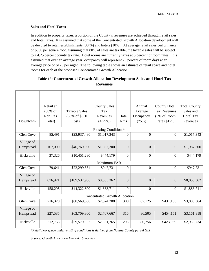#### **Sales and Hotel Taxes**

In addition to property taxes, a portion of the County's revenues are achieved through retail sales and hotel taxes. It is assumed that some of the Concentrated Growth Allocation development will be devoted to retail establishments (30 %) and hotels (10%). At average retail sales performance of \$350 per square foot, assuming that 80% of sales are taxable, the taxable sales will be subject to a 4.25 percent county tax rate. Hotel rooms are currently taxes at 3 percent of room rates. It is assumed that over an average year, occupancy will represent 75 percent of room days at an average price of \$175 per night. The following table shows an estimate of retail space and hotel rooms for each of the proposed Concentrated Growth Allocation.

|                  | Retail sf           |                      | <b>County Sales</b>                   |                | Annual         | <b>County Hotel</b> | <b>Total County</b> |
|------------------|---------------------|----------------------|---------------------------------------|----------------|----------------|---------------------|---------------------|
|                  | $(30\% \text{ of }$ | <b>Taxable Sales</b> | Tax                                   |                | Average        | <b>Tax Revenues</b> | Sales and           |
|                  | Non Res             | (80% of \$350)       | Revenues                              | Hotel          | Occupancy      | (3% of Room         | <b>Hotel Tax</b>    |
| Downtown         | Total)              | psf)                 | (4.25%)                               | <b>Rms</b>     | (75%)          | Rates \$175)        | Revenues            |
|                  |                     |                      |                                       |                |                |                     |                     |
|                  |                     |                      | Existing Conditions*                  |                |                |                     |                     |
| <b>Glen Cove</b> | 85,491              | \$23,937,480         | \$1,017,343                           | $\overline{0}$ | $\overline{0}$ | $\theta$            | \$1,017,343         |
| Village of       |                     |                      |                                       |                |                |                     |                     |
| Hempstead        | 167,000             | \$46,760,000         | \$1,987,300                           | $\theta$       | $\overline{0}$ | $\overline{0}$      | \$1,987,300         |
|                  |                     |                      |                                       |                |                |                     |                     |
| Hicksville       | 37,326              | \$10,451,280         | \$444,179                             | $\overline{0}$ | $\overline{0}$ | $\overline{0}$      | \$444,179           |
|                  |                     |                      | <b>Maximum FAR</b>                    |                |                |                     |                     |
| <b>Glen Cove</b> | 79,641              | \$22,299,564         | \$947,731                             | $\overline{0}$ | $\overline{0}$ | $\overline{0}$      | \$947,731           |
| Village of       |                     |                      |                                       |                |                |                     |                     |
| Hempstead        | 676,921             | \$189,537,936        | \$8,055,362                           | $\theta$       | $\Omega$       | $\overline{0}$      | \$8,055,362         |
|                  |                     |                      |                                       |                |                |                     |                     |
| Hicksville       | 158,295             | \$44,322,600         | \$1,883,711                           | $\overline{0}$ | $\overline{0}$ | $\overline{0}$      | \$1,883,711         |
|                  |                     |                      | <b>Concentrated Growth Allocation</b> |                |                |                     |                     |
| Glen Cove        | 216,320             | \$60,569,600         | \$2,574,208                           | 300            | 82,125         | \$431,156           | \$3,005,364         |
|                  |                     |                      |                                       |                |                |                     |                     |
| Village of       |                     |                      |                                       |                |                |                     |                     |
| Hempstead        | 227,535             | \$63,709,800         | \$2,707,667                           | 316            | 86,505         | \$454,151           | \$3,161,818         |
| Hicksville       | 212,753             | \$59,570,952         | \$2,531,765                           | 295            | 80,756         | \$423,969           | \$2,955,734         |
|                  |                     |                      |                                       |                |                |                     |                     |

# **Table 13: Concentrated Growth Allocation Development Sales and Hotel Tax Revenues**

*\*Retail floorspace under existing conditions is derived from Nassau County parcel GIS* 

*Source: Growth Allocation Memo/Urbanomics*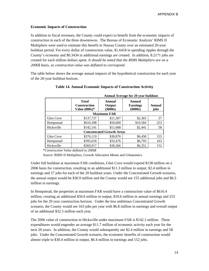#### **Economic Impacts of Construction**

In addition to fiscal revenues, the County could expect to benefit from the economic impacts of construction in each of the three downtowns. The Bureau of Economic Analysis' RIMS II Multipliers were used to estimate this benefit to Nassau County over an estimated 20-year buildout period. For every dollar of construction value, \$1.6418 in spending ripples through the County's economy and \$0.3434 in additional earnings are created. In addition, 8.2171 jobs are created for each million dollars spent. *It should be noted that the RIMS Multipliers are on a 2006\$ basis, so construction value was deflated to correspond*.

The table below shows the average annual impacts of the hypothetical construction for each year of the 20-year buildout horizon.

|                    |                                                        |                                  | <b>Annual Average for 20 year buildout</b> |                |  |  |  |  |  |  |  |  |  |
|--------------------|--------------------------------------------------------|----------------------------------|--------------------------------------------|----------------|--|--|--|--|--|--|--|--|--|
|                    | <b>Total</b><br><b>Construction</b><br>Value $(000s)*$ | Annual<br>Output<br>(\$000s)     | Annual<br><b>Earnings</b><br>$(\$000s)$    | Annual<br>jobs |  |  |  |  |  |  |  |  |  |
| <b>Maximum FAR</b> |                                                        |                                  |                                            |                |  |  |  |  |  |  |  |  |  |
| Glen Cove          | \$137,737                                              | \$11,307                         | \$2,365                                    | 57             |  |  |  |  |  |  |  |  |  |
| Hempstead          | \$616,398                                              | \$50,600                         | \$10,584                                   | 253            |  |  |  |  |  |  |  |  |  |
| Hicksville         | \$142,141                                              | \$11,668                         | \$2,441                                    | 58             |  |  |  |  |  |  |  |  |  |
|                    |                                                        | <b>Concentrated Growth Areas</b> |                                            |                |  |  |  |  |  |  |  |  |  |
| Glen Cove          | \$376,119                                              | \$30,876                         | \$6,458                                    | 155            |  |  |  |  |  |  |  |  |  |
| Hempstead          | \$395,618                                              | \$32,476                         | \$6,793                                    | 163            |  |  |  |  |  |  |  |  |  |
| Hicksville         | \$369,917                                              | \$30,366                         | \$6,351                                    | 152            |  |  |  |  |  |  |  |  |  |

#### **Table 14. Annual Economic Impacts of Construction Activity**

\**Construction Value deflated to 2006\$* 

Source: RIMS II Mulitpliers, Growth Allocation Memo and Urbanomics

Under full buildout at maximum FAR conditions, Glen Cove would expend \$138 million on a 2006 basis for construction, resulting in an additional \$11.3 million in output, \$2.4 million in earnings and 57 jobs for each of the 20 buildout years. Under the Concentrated Growth scenario, the annual output would be \$30.9 million and the County would see 155 additional jobs and \$6.5 million in earnings.

In Hempstead, the properties at maximum FAR would have a construction value of \$616.4 million, creating an additional \$50.6 million in output, \$10.6 million in annual earnings and 253 jobs for the 20 year construction horizon. Under the less ambitious Concentrated Growth scenario, the County would see 163 jobs per year with \$6.8 million in earnings and overall output of an additional \$32.5 million each year.

The 2006 value of construction in Hicksville under maximum FAR is \$142.1 million. These expenditures would engender an average \$11.7 million of economic activity each year for the next 20 years. In addition, the County would subsequently see \$2.4 million in earnings and 58 jobs. Under the Concentrated Growth scenario, the economic benefits of construction would almost triple to \$30.4 million in output, \$6.4 million in earnings and 152 jobs.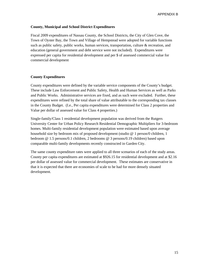#### **County, Municipal and School District Expenditures**

Fiscal 2009 expenditures of Nassau County, the School Districts, the City of Glen Cove, the Town of Oyster Bay, the Town and Village of Hempstead were adopted for variable functions such as public safety, public works, human services, transportation, culture  $\&$  recreation, and education (general government and debt service were not included). Expenditures were expressed per capita for residential development and per \$ of assessed commercial value for commercial development

#### **County Expenditures**

County expenditures were defined by the variable service components of the County's budget. These include Law Enforcement and Public Safety, Health and Human Services as well as Parks and Public Works. Administrative services are fixed, and as such were excluded. Further, these expenditures were refined by the total share of value attributable to the corresponding tax classes in the County Budget. (I.e., Per capita expenditures were determined for Class 2 properties and Value per dollar of assessed value for Class 4 properties.)

Single-family/Class 1 residential development population was derived from the Rutgers University Center for Urban Policy Research Residential Demographic Multipliers for 3-bedroom homes. Multi-family residential development population were estimated based upon average household size by bedroom mix of proposed development (studio @ 1 person/0 children, 1 bedroom @ 1.5 persons/0.1 children, 2 bedrooms @ 3 persons/0.19 children) based upon comparable multi-family developments recently constructed in Garden City.

The same county expenditure rates were applied to all three scenarios of each of the study areas. County per capita expenditures are estimated at \$926.15 for residential development and at \$2.16 per dollar of assessed value for commercial development. These estimates are conservative in that it is expected that there are economies of scale to be had for more densely situated development.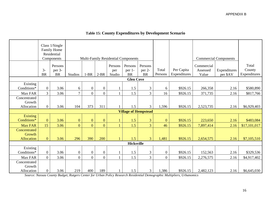|                                             |                   | Class 1/Single<br>Family Home<br>Residential |                |                |                  |                          |                                            |                                |                  |                            |                                 |                              |                                 |
|---------------------------------------------|-------------------|----------------------------------------------|----------------|----------------|------------------|--------------------------|--------------------------------------------|--------------------------------|------------------|----------------------------|---------------------------------|------------------------------|---------------------------------|
|                                             |                   | Components                                   |                |                |                  |                          | <b>Multi-Family Residential Components</b> |                                |                  |                            |                                 | <b>Commercial Components</b> |                                 |
|                                             | $3-$<br><b>BR</b> | Persons<br>per 3-<br><b>BR</b>               | <b>Studios</b> | $1-BR$         | $2-BR$           | Persons<br>per<br>Studio | Persons<br>per 1-<br><b>BR</b>             | Persons<br>per 2-<br><b>BR</b> | Total<br>Persons | Per Capita<br>Expenditures | Commercial<br>Assessed<br>Value | Expenditures<br>per \$AV     | Total<br>County<br>Expenditures |
|                                             |                   |                                              |                |                |                  |                          | <b>Glen Cove</b>                           |                                |                  |                            |                                 |                              |                                 |
| Existing<br>Conditions*                     | $\boldsymbol{0}$  | 3.06                                         | 6              | $\overline{0}$ | $\boldsymbol{0}$ |                          | 1.5                                        | 3                              | 6                | \$926.15                   | 266,358                         | 2.16                         | \$580,890                       |
| Max FAR                                     | 3                 | 3.06                                         | $\overline{7}$ | $\overline{0}$ | $\overline{0}$   |                          | 1.5                                        | $\overline{3}$                 | 16               | \$926.15                   | 371,735                         | 2.16                         | \$817,766                       |
| Concentrated<br>Growth<br>Allocation        | $\overline{0}$    | 3.06                                         | 104            | 373            | 311              |                          | 1.5                                        | $\overline{3}$                 | 1,596            | \$926.15                   | 2,523,735                       | 2.16                         | \$6,929,403                     |
|                                             |                   |                                              |                |                |                  |                          | <b>Village of Hempstead</b>                |                                |                  |                            |                                 |                              |                                 |
| <b>Existing</b><br>Conditions*              | $\mathbf{0}$      | 3.06                                         | $\mathbf{0}$   | $\mathbf{0}$   | $\mathbf{0}$     |                          | 1.5                                        | 3                              | $\mathbf{0}$     | \$926.15                   | 223,650                         | 2.16                         | \$483,084                       |
| <b>Max FAR</b>                              | 15                | 3.06                                         | $\overline{0}$ | $\overline{0}$ | $\overline{0}$   |                          | 1.5                                        | $\overline{3}$                 | 46               | \$926.15                   | 7,897,414                       | 2.16                         | \$17,101,017                    |
| Concentrated<br>Growth<br><b>Allocation</b> | $\overline{0}$    | 3.06                                         | 296            | 390            | 200              |                          | 1.5                                        | $\overline{3}$                 | 1,481            | \$926.15                   | 2,654,575                       | 2.16                         | \$7,105,510                     |
|                                             |                   |                                              |                |                |                  |                          | <b>Hicksville</b>                          |                                |                  |                            |                                 |                              |                                 |
| Existing<br>Conditions*                     | $\overline{0}$    | 3.06                                         | $\overline{0}$ | $\overline{0}$ | $\boldsymbol{0}$ |                          | 1.5                                        | 3                              | $\overline{0}$   | \$926.15                   | 152,563                         | 2.16                         | \$329,536                       |
| Max FAR                                     | $\Omega$          | 3.06                                         | $\overline{0}$ | $\overline{0}$ | $\overline{0}$   |                          | 1.5                                        | $\overline{3}$                 | $\overline{0}$   | \$926.15                   | 2,276,575                       | 2.16                         | \$4,917,402                     |
| Concentrated<br>Growth<br>Allocation        | $\boldsymbol{0}$  | 3.06                                         | 219            | 400            | 189              |                          | 1.5                                        | 3                              | 1,386            | \$926.15                   | 2,482,123                       | 2.16                         | \$6,645,030                     |

# **Table 15: County Expenditures by Development Scenario**

*Source: Nassau County Budget, Rutgers Center for Urban Policy Research Residential Demographic Multipliers, Urbanomics*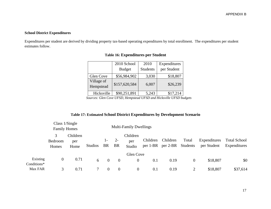#### **School District Expenditures**

Expenditures per student are derived by dividing property tax-based operating expenditures by total enrollment. The expenditures per student estimates follow.

|                         | 2010 School   | 2010            | Expenditures |
|-------------------------|---------------|-----------------|--------------|
|                         | <b>Budget</b> | <b>Students</b> | per Student  |
| Glen Cove               | \$56,984,902  | 3,030           | \$18,807     |
| Village of<br>Hempstead | \$157,620,584 | 6,007           | \$26,239     |
| Hicksville              | \$90,251,891  | 5,243           | \$17,214     |

# **Table 16: Expenditures per Student**

*Sources: Glen Cove UFSD, Hempstead UFSD and Hicksville UFSD budgets* 

# **Table 17: Estimated School District Expenditures by Development Scenario**

|                         | <b>Family Homes</b>   | Class $1/Single$        |                |                             |                    | <b>Multi-Family Dwellings</b> |                      |                      |                   |                             |                                     |
|-------------------------|-----------------------|-------------------------|----------------|-----------------------------|--------------------|-------------------------------|----------------------|----------------------|-------------------|-----------------------------|-------------------------------------|
|                         | 3<br>Bedroom<br>Homes | Children<br>per<br>Home | <b>Studios</b> | $\mathbf{I}$ –<br><b>BR</b> | $2 -$<br><b>BR</b> | Children<br>per<br>Studio     | Children<br>per 1-BR | Children<br>per 2-BR | Total<br>Students | Expenditures<br>per Student | <b>Total School</b><br>Expenditures |
|                         |                       |                         |                |                             |                    | <b>Glen Cove</b>              |                      |                      |                   |                             |                                     |
| Existing<br>Conditions* | $\theta$              | 0.71                    | 6              | $\overline{0}$              | $\boldsymbol{0}$   | $\overline{0}$                | 0.1                  | 0.19                 | 0                 | \$18,807                    | \$0                                 |
| Max FAR                 | 3                     | 0.71                    |                |                             | $\theta$           |                               | 0.1                  | 0.19                 |                   | \$18,807                    | \$37,614                            |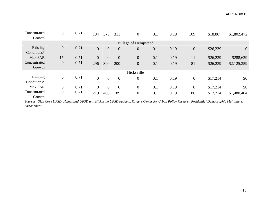| Concentrated<br>Growth  | $\boldsymbol{0}$ | 0.71 | 104            | 373            | 311            | $\boldsymbol{0}$     | 0.1 | 0.19 | 109              | \$18,807 | \$1,802,472    |
|-------------------------|------------------|------|----------------|----------------|----------------|----------------------|-----|------|------------------|----------|----------------|
|                         |                  |      |                |                |                | Village of Hempstead |     |      |                  |          |                |
| Existing<br>Conditions* | $\boldsymbol{0}$ | 0.71 | $\overline{0}$ | $\overline{0}$ | $\theta$       | $\boldsymbol{0}$     | 0.1 | 0.19 | $\boldsymbol{0}$ | \$26,239 | $\overline{0}$ |
| Max FAR                 | 15               | 0.71 | $\overline{0}$ | $\overline{0}$ | $\theta$       | $\boldsymbol{0}$     | 0.1 | 0.19 | 11               | \$26,239 | \$288,629      |
| Concentrated<br>Growth  | $\boldsymbol{0}$ | 0.71 | 296            | 390            | 200            | $\boldsymbol{0}$     | 0.1 | 0.19 | 81               | \$26,239 | \$2,125,359    |
|                         |                  |      |                |                |                | Hicksville           |     |      |                  |          |                |
| Existing<br>Conditions* | $\overline{0}$   | 0.71 | $\theta$       | $\overline{0}$ | $\overline{0}$ | $\boldsymbol{0}$     | 0.1 | 0.19 | $\overline{0}$   | \$17,214 | \$0            |
| Max FAR                 | $\theta$         | 0.71 | $\Omega$       | $\overline{0}$ | $\overline{0}$ | $\boldsymbol{0}$     | 0.1 | 0.19 | $\boldsymbol{0}$ | \$17,214 | \$0            |
| Concentrated<br>Growth  | $\overline{0}$   | 0.71 | 219            | 400            | 189            | $\boldsymbol{0}$     | 0.1 | 0.19 | 86               | \$17,214 | \$1,480,404    |

*Sources: Glen Cove UFSD, Hempstead UFSD and Hicksville UFSD budgets, Rutgers Center for Urban Policy Research Residential Demographic Multipliers, Urbanomics*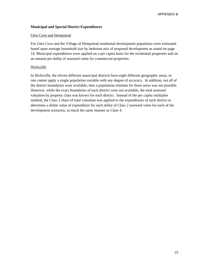#### **Municipal and Special District Expenditures**

#### Glen Cove and Hempstead

For Glen Cove and the Village of Hempstead residential development population were estimated based upon average household size by bedroom mix of proposed development as stated on page 14. Municipal expenditures were applied on a per capita basis for the residential properties and on an amount per dollar of assessed value for commercial properties.

#### Hicksville

In Hicksville, the eleven different municipal districts have eight different geographic areas, so one cannot apply a single population variable with any degree of accuracy. In addition, not all of the district boundaries were available, thus a population estimate for these areas was not possible. However, while the exact boundaries of each district were not available, the total assessed valuation by property class was known for each district. Instead of the per capita multiplier method, the Class 2 share of total valuation was applied to the expenditures of each district to determine a dollar value of expenditure for each dollar of Class 2 assessed value for each of the development scenarios, in much the same manner as Class 4.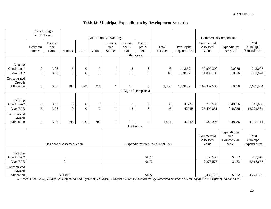# **Table 18: Municipal Expenditures by Development Scenario**

|              |                      | Class 1/Single<br><b>Family Homes</b> |                                   |                |                                      |                               |                     |                     |                                   |              |                              |                    |                           |
|--------------|----------------------|---------------------------------------|-----------------------------------|----------------|--------------------------------------|-------------------------------|---------------------|---------------------|-----------------------------------|--------------|------------------------------|--------------------|---------------------------|
|              |                      |                                       |                                   |                |                                      | <b>Multi-Family Dwellings</b> |                     |                     |                                   |              | <b>Commercial Components</b> |                    |                           |
|              | 3                    | Persons                               |                                   |                |                                      | Persons                       | Persons             | Persons             |                                   |              | Commercial                   |                    | Total                     |
|              | Bedroom              | per                                   |                                   |                |                                      | per                           | per 1-<br><b>BR</b> | per 2-<br><b>BR</b> | Total                             | Per Capita   | Assessed                     | Expenditures       | Municipal<br>Expenditures |
|              | Homes                | Home                                  | Studios                           | $1-BR$         | $2-BR$                               | Studio                        | Glen Cove           |                     | Persons                           | Expenditures | Value                        | per \$AV           |                           |
|              |                      |                                       |                                   |                |                                      |                               |                     |                     |                                   |              |                              |                    |                           |
| Existing     |                      |                                       |                                   |                |                                      |                               |                     |                     |                                   |              |                              |                    |                           |
| Conditions*  | $\boldsymbol{0}$     | 3.06                                  | 6                                 | $\mathbf{0}$   | $\overline{0}$                       |                               | 1.5                 | 3                   | 6                                 | 1,148.52     | 30,997,300                   | 0.0076             | 242,095                   |
| Max FAR      | $\overline{3}$       | 3.06                                  | $\overline{7}$                    | $\overline{0}$ | $\overline{0}$                       |                               | 1.5                 | $\overline{3}$      | 16                                | 1,148.52     | 71,093,198                   | 0.0076             | 557,824                   |
| Concentrated |                      |                                       |                                   |                |                                      |                               |                     |                     |                                   |              |                              |                    |                           |
| Growth       |                      |                                       |                                   |                |                                      |                               |                     |                     |                                   |              |                              |                    |                           |
| Allocation   | $\boldsymbol{0}$     | 3.06                                  | 104                               | 373            | 3<br>311<br>1.5<br>1,596<br>1,148.52 |                               |                     |                     |                                   |              | 102,382,586                  | 0.0076             | 2,609,904                 |
|              | Village of Hempstead |                                       |                                   |                |                                      |                               |                     |                     |                                   |              |                              |                    |                           |
| Existing     |                      |                                       |                                   |                |                                      |                               |                     |                     |                                   |              |                              |                    |                           |
| Conditions*  | $\boldsymbol{0}$     | 3.06                                  | $\boldsymbol{0}$                  | $\mathbf{0}$   | $\overline{0}$                       |                               | 1.5                 | 3                   | $\boldsymbol{0}$                  | 427.58       | 719,535                      | 0.48036            | 345,636                   |
| Max FAR      | 15                   | 3.06                                  | $\overline{0}$                    | $\overline{0}$ | $\overline{0}$                       |                               | 1.5                 | $\overline{3}$      | 46                                | 427.58       | 25,407,851                   | 0.48036            | 12,224,584                |
| Concentrated |                      |                                       |                                   |                |                                      |                               |                     |                     |                                   |              |                              |                    |                           |
| Growth       |                      |                                       |                                   |                |                                      |                               |                     |                     |                                   |              |                              |                    |                           |
| Allocation   | $\boldsymbol{0}$     | 3.06                                  | 296                               | 390            | 200                                  |                               | 1.5                 | $\overline{3}$      | 1,481                             | 427.58       | 8,540,396                    | 0.48036            | 4,735,711                 |
|              |                      |                                       |                                   |                |                                      |                               |                     | Hicksville          |                                   |              |                              |                    |                           |
|              |                      |                                       |                                   |                |                                      |                               |                     |                     |                                   |              |                              | Expenditures       |                           |
|              |                      |                                       |                                   |                |                                      |                               |                     |                     |                                   |              | Commercial                   | per                | Total                     |
|              |                      |                                       | <b>Residential Assessed Value</b> |                |                                      |                               |                     |                     | Expenditures per Residential \$AV |              | Assessed<br>Value            | Commercial<br>\$AV | Municipal<br>Expenditures |
|              |                      |                                       |                                   |                |                                      |                               |                     |                     |                                   |              |                              |                    |                           |
| Existing     |                      |                                       |                                   |                |                                      |                               |                     |                     |                                   |              |                              |                    |                           |
| Conditions*  |                      |                                       | $\boldsymbol{0}$                  |                |                                      | \$1.72                        |                     |                     |                                   |              | 152,563                      | \$1.72             | 262,540                   |
| Max FAR      |                      |                                       | $\mathbf{0}$                      |                |                                      |                               |                     | \$1.72              |                                   |              | 2,276,575                    | \$1.72             | 3,917,667                 |
| Concentrated |                      |                                       |                                   |                |                                      |                               |                     |                     |                                   |              |                              |                    |                           |
| Growth       |                      |                                       |                                   |                |                                      |                               |                     |                     |                                   |              |                              |                    |                           |
| Allocation   |                      |                                       | 581,010                           |                |                                      |                               |                     | \$1.72              |                                   |              | 2,482,123                    | \$1.72             | 4,271,386                 |

*Sources: Glen Cove, Village of Hempstead and Oyster Bay budgets, Rutgers Center for Urban Policy Research Residential Demographic Multipliers, Urbanomics*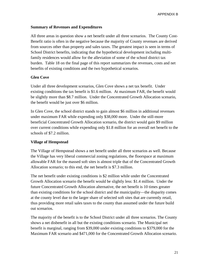# **Summary of Revenues and Expenditures**

All three areas in question show a net benefit under all three scenarios. The County Cost-Benefit ratio is often in the negative because the majority of County revenues are derived from sources other than property and sales taxes. The greatest impact is seen in terms of School District benefits, indicating that the hypothetical development including multifamily residences would allow for the alleviation of some of the school district tax burden. Table 18 on the final page of this report summarizes the revenues, costs and net benefits of existing conditions and the two hypothetical scenarios.

# **Glen Cove**

Under all three development scenarios, Glen Cove shows a net tax benefit. Under existing conditions the tax benefit is \$1.6 million. At maximum FAR, the benefit would be slightly more than \$8.7 million. Under the Concentrated Growth Allocation scenario, the benefit would be just over \$6 million.

In Glen Cove, the school district stands to gain almost \$6 million in additional revenues under maximum FAR while expending only \$38,000 more. Under the still-more beneficial Concentrated Growth Allocation scenario, the district would gain \$9 million over current conditions while expending only \$1.8 million for an overall net benefit to the schools of \$7.2 million.

#### **Village of Hempstead**

The Village of Hempstead shows a net benefit under all three scenarios as well. Because the Village has very liberal commercial zoning regulations, the floorspace at maximum allowable FAR for the massed soft sites is almost triple that of the Concentrated Growth Allocation scenario; to this end, the net benefit is \$7.3 million.

The net benefit under existing conditions is \$2 million while under the Concentrated Growth Allocation scenario the benefit would be slightly less: \$1.4 million. Under the future Concentrated Growth Allocation alternative, the net benefit is 10 times greater than existing conditions for the school district and the municipality—the disparity comes at the county level due to the larger share of selected soft sites that are currently retail, thus providing more retail sales taxes to the county than assumed under the future build out scenarios.

The majority of the benefit is to the School District under all three scenarios. The County shows a net disbenefit in all but the existing conditions scenario. The Municipal net benefit is marginal, ranging from \$39,000 under existing conditions to \$379,000 for the Maximum FAR scenario and \$471,000 for the Concentrated Growth Allocation scenario.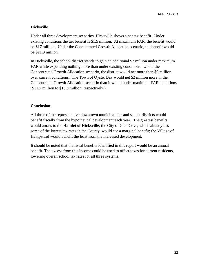APPENDIX B

# **Hicksville**

Under all three development scenarios, Hicksville shows a net tax benefit. Under existing conditions the tax benefit is \$1.5 million. At maximum FAR, the benefit would be \$17 million. Under the Concentrated Growth Allocation scenario, the benefit would be \$21.3 million.

In Hicksville, the school district stands to gain an additional \$7 million under maximum FAR while expending nothing more than under existing conditions. Under the Concentrated Growth Allocation scenario, the district would net more than \$9 million over current conditions. The Town of Oyster Bay would net \$2 million more in the Concentrated Growth Allocation scenario than it would under maximum FAR conditions (\$11.7 million to \$10.0 million, respectively.)

#### **Conclusion:**

All three of the representative downtown municipalities and school districts would benefit fiscally from the hypothetical development each year. The greatest benefits would amass to the **Hamlet of Hicksville**; the City of Glen Cove, which already has some of the lowest tax rates in the County, would see a marginal benefit; the Village of Hempstead would benefit the least from the increased development.

It should be noted that the fiscal benefits identified in this report would be an annual benefit. The excess from this income could be used to offset taxes for current residents, lowering overall school tax rates for all three systems.